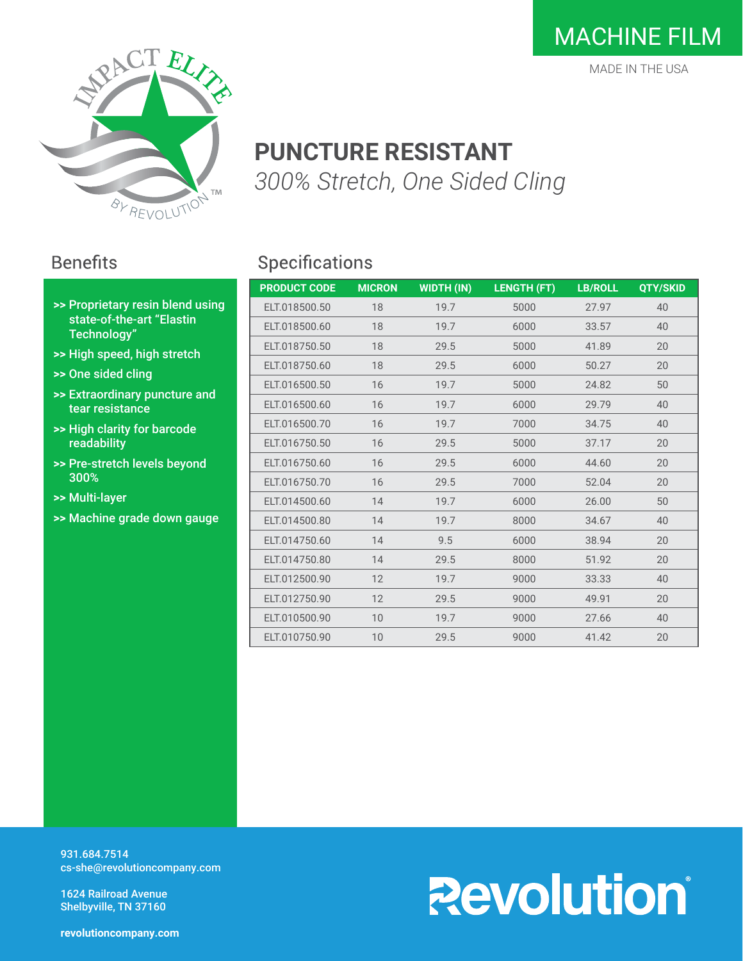

### **PUNCTURE RESISTANT** *300% Stretch, One Sided Cling*

#### **Benefits**

- **>>** Proprietary resin blend using state-of-the-art "Elastin Technology"
- **>>** High speed, high stretch
- **>>** One sided cling
- **>>** Extraordinary puncture and tear resistance
- **>>** High clarity for barcode readability
- **>>** Pre-stretch levels beyond 300%
- **>>** Multi-layer
- **>>** Machine grade down gauge

#### Specifications

| <b>PRODUCT CODE</b> | <b>MICRON</b> | <b>WIDTH (IN)</b> | <b>LENGTH (FT)</b> | <b>LB/ROLL</b> | QTY/SKID |
|---------------------|---------------|-------------------|--------------------|----------------|----------|
| ELT.018500.50       | 18            | 19.7              | 5000               | 27.97          | 40       |
| ELT.018500.60       | 18            | 19.7              | 6000               | 33.57          | 40       |
| ELT.018750.50       | 18            | 29.5              | 5000               | 41.89          | 20       |
| ELT.018750.60       | 18            | 29.5              | 6000               | 50.27          | 20       |
| ELT.016500.50       | 16            | 19.7              | 5000               | 24.82          | 50       |
| ELT.016500.60       | 16            | 19.7              | 6000               | 29.79          | 40       |
| ELT.016500.70       | 16            | 19.7              | 7000               | 34.75          | 40       |
| ELT.016750.50       | 16            | 29.5              | 5000               | 37.17          | 20       |
| ELT.016750.60       | 16            | 29.5              | 6000               | 44.60          | 20       |
| ELT.016750.70       | 16            | 29.5              | 7000               | 52.04          | 20       |
| ELT.014500.60       | 14            | 19.7              | 6000               | 26.00          | 50       |
| ELT.014500.80       | 14            | 19.7              | 8000               | 34.67          | 40       |
| ELT.014750.60       | 14            | 9.5               | 6000               | 38.94          | 20       |
| ELT.014750.80       | 14            | 29.5              | 8000               | 51.92          | 20       |
| ELT.012500.90       | 12            | 19.7              | 9000               | 33.33          | 40       |
| ELT.012750.90       | 12            | 29.5              | 9000               | 49.91          | 20       |
| ELT.010500.90       | 10            | 19.7              | 9000               | 27.66          | 40       |
| ELT.010750.90       | 10            | 29.5              | 9000               | 41.42          | 20       |

931.684.7514 cs-she@revolutioncompany.com

1624 Railroad Avenue Shelbyville, TN 37160

# **Revolution**

**revolutioncompany.com**

### MACHINE FILM

MADE IN THE USA